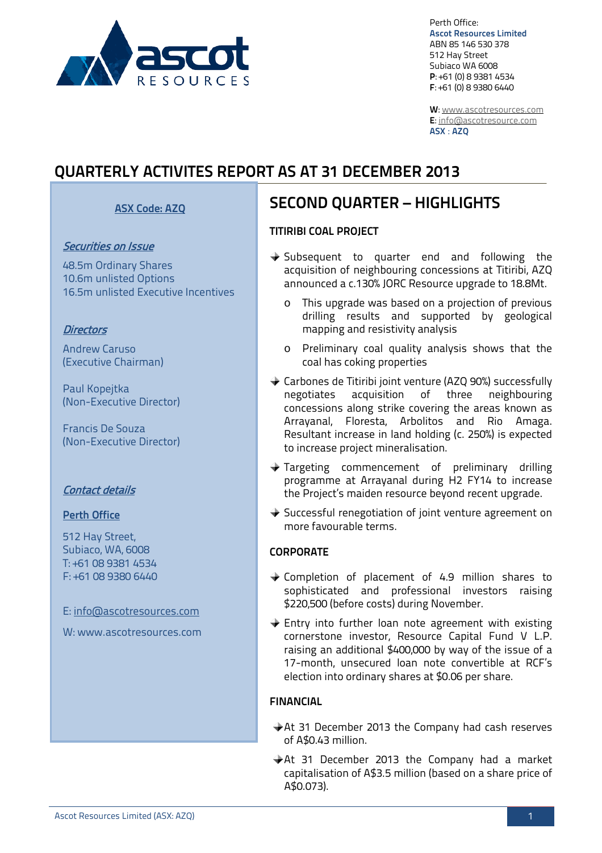

Perth Office: **Ascot Resources Limited** ABN 85 146 530 378 512 Hay Street Subiaco WA 6008 **P**: +61 (0) 8 9381 4534 **F**: +61 (0) 8 9380 6440

**W**: [www.ascotresources.com](http://www.ascotresources.com/) **E**[: info@ascotresource.com](mailto:info@ascotresource.com) **ASX** : **AZQ**

# **QUARTERLY ACTIVITES REPORT AS AT 31 DECEMBER 2013**

## **ASX Code: AZQ**

## Securities on Issue

48.5m Ordinary Shares 10.6m unlisted Options 16.5m unlisted Executive Incentives

## **Directors**

Andrew Caruso (Executive Chairman)

Paul Kopejtka (Non-Executive Director)

Francis De Souza (Non-Executive Director)

## Contact details

## **Perth Office**

512 Hay Street, Subiaco, WA, 6008 T: +61 08 9381 4534 F: +61 08 9380 6440

E: info@ascotresources.com

W: www.ascotresources.com

# **SECOND QUARTER – HIGHLIGHTS**

## **TITIRIBI COAL PROJECT**

- ◆ Subsequent to quarter end and following the acquisition of neighbouring concessions at Titiribi, AZQ announced a c.130% JORC Resource upgrade to 18.8Mt.
	- o This upgrade was based on a projection of previous drilling results and supported by geological mapping and resistivity analysis
	- o Preliminary coal quality analysis shows that the coal has coking properties
- Carbones de Titiribi joint venture (AZQ 90%) successfully negotiates acquisition of three neighbouring concessions along strike covering the areas known as Arrayanal, Floresta, Arbolitos and Rio Amaga. Resultant increase in land holding (c. 250%) is expected to increase project mineralisation.
- Targeting commencement of preliminary drilling programme at Arrayanal during H2 FY14 to increase the Project's maiden resource beyond recent upgrade.
- ◆ Successful renegotiation of joint venture agreement on more favourable terms.

## **CORPORATE**

- Completion of placement of 4.9 million shares to sophisticated and professional investors raising \$220,500 (before costs) during November.
- ◆ Entry into further loan note agreement with existing cornerstone investor, Resource Capital Fund V L.P. raising an additional \$400,000 by way of the issue of a 17-month, unsecured loan note convertible at RCF's election into ordinary shares at \$0.06 per share.

## **FINANCIAL**

- At 31 December 2013 the Company had cash reserves of A\$0.43 million.
- At 31 December 2013 the Company had a market capitalisation of A\$3.5 million (based on a share price of A\$0.073).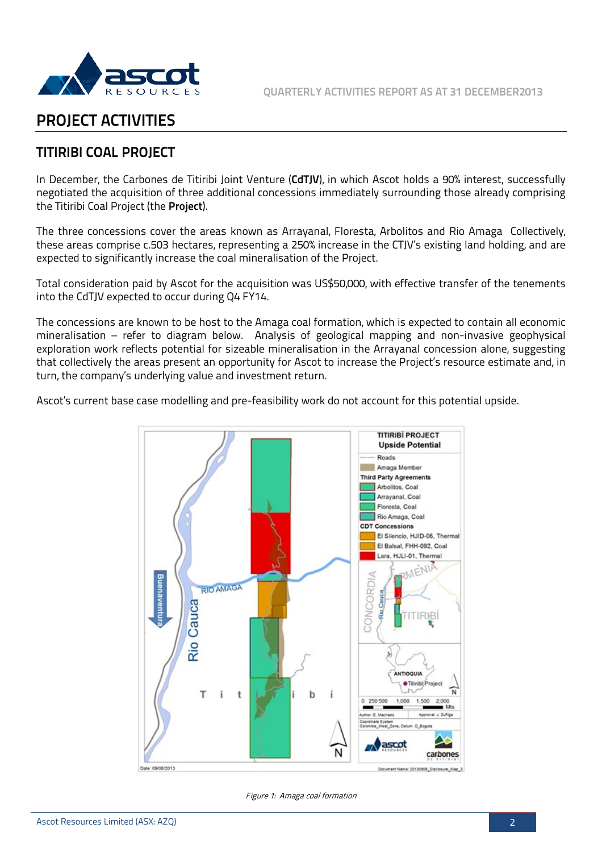

**QUARTERLY ACTIVITIES REPORT AS AT 31 DECEMBER2013**

# **PROJECT ACTIVITIES**

## **TITIRIBI COAL PROJECT**

In December, the Carbones de Titiribi Joint Venture (**CdTJV**), in which Ascot holds a 90% interest, successfully negotiated the acquisition of three additional concessions immediately surrounding those already comprising the Titiribi Coal Project (the **Project**).

The three concessions cover the areas known as Arrayanal, Floresta, Arbolitos and Rio Amaga Collectively, these areas comprise c.503 hectares, representing a 250% increase in the CTJV's existing land holding, and are expected to significantly increase the coal mineralisation of the Project.

Total consideration paid by Ascot for the acquisition was US\$50,000, with effective transfer of the tenements into the CdTJV expected to occur during Q4 FY14.

The concessions are known to be host to the Amaga coal formation, which is expected to contain all economic mineralisation – refer to diagram below. Analysis of geological mapping and non-invasive geophysical exploration work reflects potential for sizeable mineralisation in the Arrayanal concession alone, suggesting that collectively the areas present an opportunity for Ascot to increase the Project's resource estimate and, in turn, the company's underlying value and investment return.

Ascot's current base case modelling and pre-feasibility work do not account for this potential upside.



Figure 1: Amaga coal formation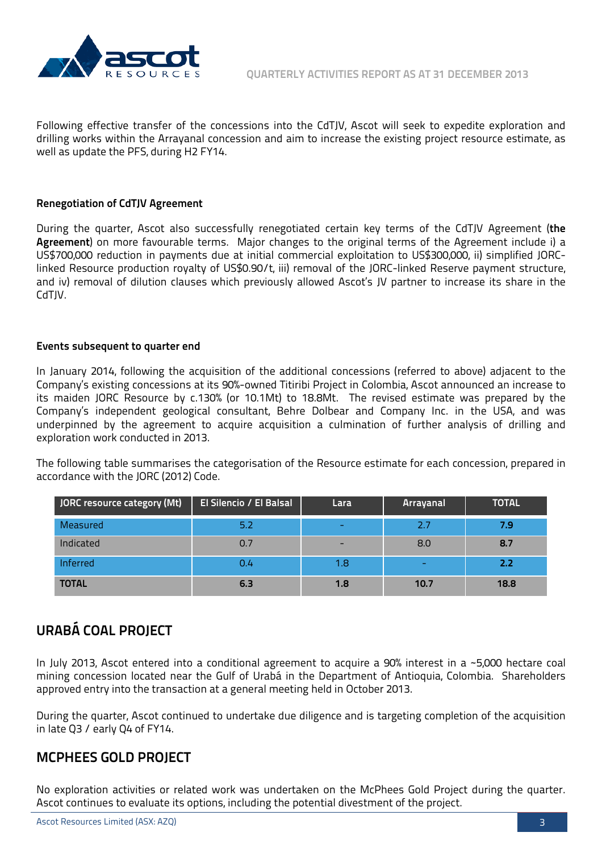

Following effective transfer of the concessions into the CdTJV, Ascot will seek to expedite exploration and drilling works within the Arrayanal concession and aim to increase the existing project resource estimate, as well as update the PFS, during H2 FY14.

### **Renegotiation of CdTJV Agreement**

During the quarter, Ascot also successfully renegotiated certain key terms of the CdTJV Agreement (**the Agreement**) on more favourable terms. Major changes to the original terms of the Agreement include i) a US\$700,000 reduction in payments due at initial commercial exploitation to US\$300,000, ii) simplified JORClinked Resource production royalty of US\$0.90/t, iii) removal of the JORC-linked Reserve payment structure, and iv) removal of dilution clauses which previously allowed Ascot's JV partner to increase its share in the CdTIV.

#### **Events subsequent to quarter end**

In January 2014, following the acquisition of the additional concessions (referred to above) adjacent to the Company's existing concessions at its 90%-owned Titiribi Project in Colombia, Ascot announced an increase to its maiden JORC Resource by c.130% (or 10.1Mt) to 18.8Mt. The revised estimate was prepared by the Company's independent geological consultant, Behre Dolbear and Company Inc. in the USA, and was underpinned by the agreement to acquire acquisition a culmination of further analysis of drilling and exploration work conducted in 2013.

The following table summarises the categorisation of the Resource estimate for each concession, prepared in accordance with the JORC (2012) Code.

| JORC resource category (Mt) | El Silencio / El Balsal | Lara | Arrayanal                | <b>TOTAL</b> |
|-----------------------------|-------------------------|------|--------------------------|--------------|
| Measured                    | 5.2                     | -    | 2.7                      | 7.9          |
| Indicated                   | 0.7                     | -    | 8.0                      | 8.7          |
| Inferred                    | 0.4                     | 1.8  | $\overline{\phantom{0}}$ | 2.2          |
| <b>TOTAL</b>                | 6.3                     | 1.8  | 10.7                     | 18.8         |

## **URABÁ COAL PROJECT**

In July 2013, Ascot entered into a conditional agreement to acquire a 90% interest in a ~5,000 hectare coal mining concession located near the Gulf of Urabá in the Department of Antioquia, Colombia. Shareholders approved entry into the transaction at a general meeting held in October 2013.

During the quarter, Ascot continued to undertake due diligence and is targeting completion of the acquisition in late Q3 / early Q4 of FY14.

## **MCPHEES GOLD PROJECT**

No exploration activities or related work was undertaken on the McPhees Gold Project during the quarter. Ascot continues to evaluate its options, including the potential divestment of the project.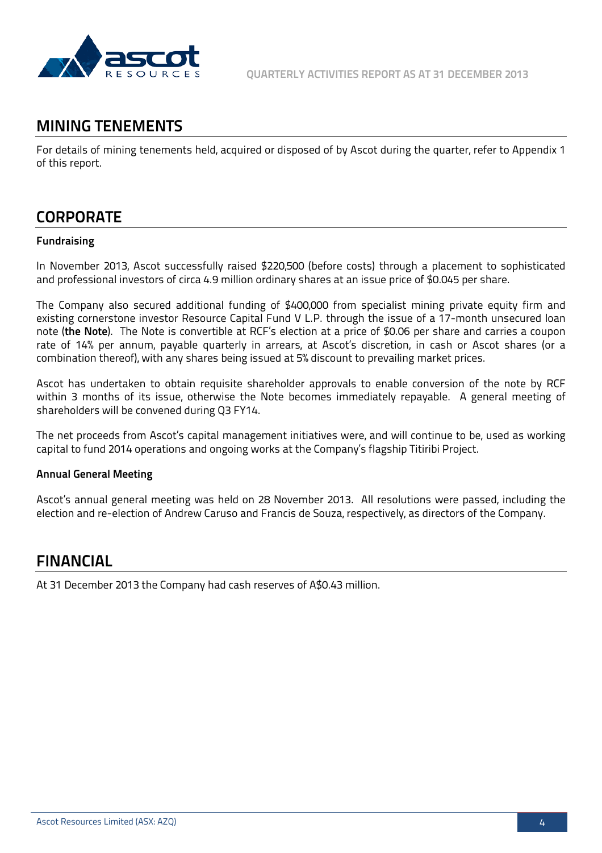

## **MINING TENEMENTS**

For details of mining tenements held, acquired or disposed of by Ascot during the quarter, refer to Appendix 1 of this report.

# **CORPORATE**

## **Fundraising**

In November 2013, Ascot successfully raised \$220,500 (before costs) through a placement to sophisticated and professional investors of circa 4.9 million ordinary shares at an issue price of \$0.045 per share.

The Company also secured additional funding of \$400,000 from specialist mining private equity firm and existing cornerstone investor Resource Capital Fund V L.P. through the issue of a 17-month unsecured loan note (**the Note**). The Note is convertible at RCF's election at a price of \$0.06 per share and carries a coupon rate of 14% per annum, payable quarterly in arrears, at Ascot's discretion, in cash or Ascot shares (or a combination thereof), with any shares being issued at 5% discount to prevailing market prices.

Ascot has undertaken to obtain requisite shareholder approvals to enable conversion of the note by RCF within 3 months of its issue, otherwise the Note becomes immediately repayable. A general meeting of shareholders will be convened during Q3 FY14.

The net proceeds from Ascot's capital management initiatives were, and will continue to be, used as working capital to fund 2014 operations and ongoing works at the Company's flagship Titiribi Project.

#### **Annual General Meeting**

Ascot's annual general meeting was held on 28 November 2013. All resolutions were passed, including the election and re-election of Andrew Caruso and Francis de Souza, respectively, as directors of the Company.

## **FINANCIAL**

At 31 December 2013 the Company had cash reserves of A\$0.43 million.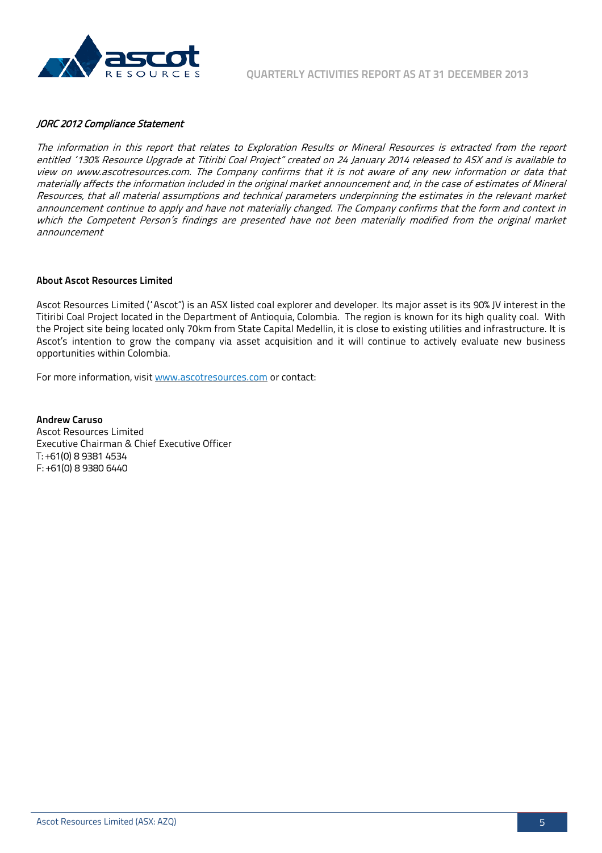

#### JORC 2012 Compliance Statement

The information in this report that relates to Exploration Results or Mineral Resources is extracted from the report entitled "130% Resource Upgrade at Titiribi Coal Project" created on 24 January 2014 released to ASX and is available to view on www.ascotresources.com. The Company confirms that it is not aware of any new information or data that materially affects the information included in the original market announcement and, in the case of estimates of Mineral Resources, that all material assumptions and technical parameters underpinning the estimates in the relevant market announcement continue to apply and have not materially changed. The Company confirms that the form and context in which the Competent Person's findings are presented have not been materially modified from the original market announcement

#### **About Ascot Resources Limited**

Ascot Resources Limited ("Ascot") is an ASX listed coal explorer and developer. Its major asset is its 90% JV interest in the Titiribi Coal Project located in the Department of Antioquia, Colombia. The region is known for its high quality coal. With the Project site being located only 70km from State Capital Medellin, it is close to existing utilities and infrastructure. It is Ascot's intention to grow the company via asset acquisition and it will continue to actively evaluate new business opportunities within Colombia.

For more information, visit [www.ascotresources.com](http://www.ascotresources.com/) or contact:

**Andrew Caruso** Ascot Resources Limited Executive Chairman & Chief Executive Officer T: +61(0) 8 9381 4534 F: +61(0) 8 9380 6440